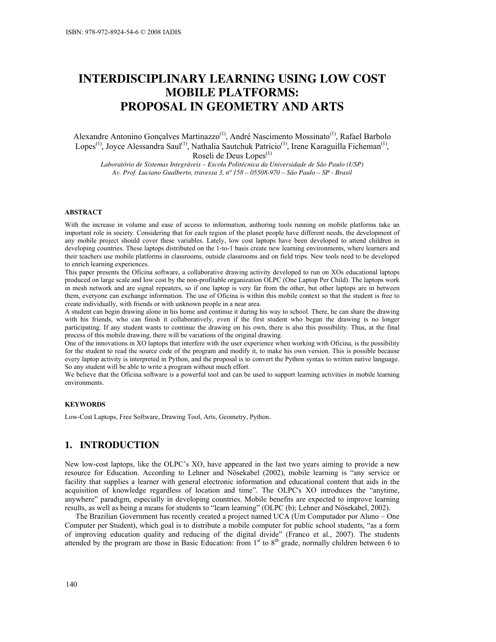# INTERDISCIPLINARY LEARNING USING LOW COST MOBILE PLATFORMS: PROPOSAL IN GEOMETRY AND ARTS

Alexandre Antonino Gonçalves Martinazzo(1), André Nascimento Mossinato(1), Rafael Barbolo Lopes<sup>(1)</sup>, Joyce Alessandra Saul<sup>(1)</sup>, Nathalia Sautchuk Patrício<sup>(1)</sup>, Irene Karaguilla Ficheman<sup>(1)</sup>, Roseli de Deus Lopes<sup>(1)</sup>

Laboratório de Sistemas Integráveis – Escola Politécnica da Universidade de São Paulo (USP) Av. Prof. Luciano Gualberto, travessa 3, nº 158 – 05508-970 – São Paulo – SP - Brasil

#### ABSTRACT

With the increase in volume and ease of access to information, authoring tools running on mobile platforms take an important role in society. Considering that for each region of the planet people have different needs, the development of any mobile project should cover these variables. Lately, low cost laptops have been developed to attend children in developing countries. These laptops distributed on the 1-to-1 basis create new learning environments, where learners and their teachers use mobile platforms in classrooms, outside classrooms and on field trips. New tools need to be developed to enrich learning experiences.

This paper presents the Oficina software, a collaborative drawing activity developed to run on XOs educational laptops produced on large scale and low cost by the non-profitable organization OLPC (One Laptop Per Child). The laptops work in mesh network and are signal repeaters, so if one laptop is very far from the other, but other laptops are in between them, everyone can exchange information. The use of Oficina is within this mobile context so that the student is free to create individually, with friends or with unknown people in a near area.

A student can begin drawing alone in his home and continue it during his way to school. There, he can share the drawing with his friends, who can finish it collaboratively, even if the first student who began the drawing is no longer participating. If any student wants to continue the drawing on his own, there is also this possibility. Thus, at the final process of this mobile drawing, there will be variations of the original drawing.

One of the innovations in XO laptops that interfere with the user experience when working with Oficina, is the possibility for the student to read the source code of the program and modify it, to make his own version. This is possible because every laptop activity is interpreted in Python, and the proposal is to convert the Python syntax to written native language. So any student will be able to write a program without much effort.

We believe that the Oficina software is a powerful tool and can be used to support learning activities in mobile learning environments.

#### **KEYWORDS**

Low-Cost Laptops, Free Software, Drawing Tool, Arts, Geometry, Python.

#### 1. INTRODUCTION

New low-cost laptops, like the OLPC's XO, have appeared in the last two years aiming to provide a new resource for Education. According to Lehner and Nösekabel (2002), mobile learning is "any service or facility that supplies a learner with general electronic information and educational content that aids in the acquisition of knowledge regardless of location and time". The OLPC's XO introduces the "anytime, anywhere" paradigm, especially in developing countries. Mobile benefits are expected to improve learning results, as well as being a means for students to "learn learning" (OLPC (b); Lehner and Nösekabel, 2002).

The Brazilian Government has recently created a project named UCA (Um Computador por Aluno – One Computer per Student), which goal is to distribute a mobile computer for public school students, "as a form of improving education quality and reducing of the digital divide" (Franco et al., 2007). The students attended by the program are those in Basic Education: from 1<sup>st</sup> to 8<sup>th</sup> grade, normally children between 6 to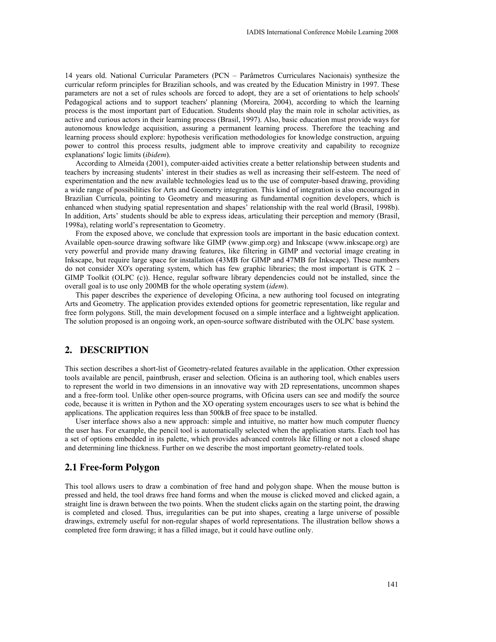14 years old. National Curricular Parameters (PCN – Parâmetros Curriculares Nacionais) synthesize the curricular reform principles for Brazilian schools, and was created by the Education Ministry in 1997. These parameters are not a set of rules schools are forced to adopt, they are a set of orientations to help schools' Pedagogical actions and to support teachers' planning (Moreira, 2004), according to which the learning process is the most important part of Education. Students should play the main role in scholar activities, as active and curious actors in their learning process (Brasil, 1997). Also, basic education must provide ways for autonomous knowledge acquisition, assuring a permanent learning process. Therefore the teaching and learning process should explore: hypothesis verification methodologies for knowledge construction, arguing power to control this process results, judgment able to improve creativity and capability to recognize explanations' logic limits (ibidem).

According to Almeida (2001), computer-aided activities create a better relationship between students and teachers by increasing students' interest in their studies as well as increasing their self-esteem. The need of experimentation and the new available technologies lead us to the use of computer-based drawing, providing a wide range of possibilities for Arts and Geometry integration. This kind of integration is also encouraged in Brazilian Curricula, pointing to Geometry and measuring as fundamental cognition developers, which is enhanced when studying spatial representation and shapes' relationship with the real world (Brasil, 1998b). In addition, Arts' students should be able to express ideas, articulating their perception and memory (Brasil, 1998a), relating world's representation to Geometry.

From the exposed above, we conclude that expression tools are important in the basic education context. Available open-source drawing software like GIMP (www.gimp.org) and Inkscape (www.inkscape.org) are very powerful and provide many drawing features, like filtering in GIMP and vectorial image creating in Inkscape, but require large space for installation (43MB for GIMP and 47MB for Inkscape). These numbers do not consider XO's operating system, which has few graphic libraries; the most important is GTK 2 – GIMP Toolkit (OLPC (c)). Hence, regular software library dependencies could not be installed, since the overall goal is to use only 200MB for the whole operating system (idem).

This paper describes the experience of developing Oficina, a new authoring tool focused on integrating Arts and Geometry. The application provides extended options for geometric representation, like regular and free form polygons. Still, the main development focused on a simple interface and a lightweight application. The solution proposed is an ongoing work, an open-source software distributed with the OLPC base system.

#### 2. DESCRIPTION

This section describes a short-list of Geometry-related features available in the application. Other expression tools available are pencil, paintbrush, eraser and selection. Oficina is an authoring tool, which enables users to represent the world in two dimensions in an innovative way with 2D representations, uncommon shapes and a free-form tool. Unlike other open-source programs, with Oficina users can see and modify the source code, because it is written in Python and the XO operating system encourages users to see what is behind the applications. The application requires less than 500kB of free space to be installed.

User interface shows also a new approach: simple and intuitive, no matter how much computer fluency the user has. For example, the pencil tool is automatically selected when the application starts. Each tool has a set of options embedded in its palette, which provides advanced controls like filling or not a closed shape and determining line thickness. Further on we describe the most important geometry-related tools.

# 2.1 Free-form Polygon

This tool allows users to draw a combination of free hand and polygon shape. When the mouse button is pressed and held, the tool draws free hand forms and when the mouse is clicked moved and clicked again, a straight line is drawn between the two points. When the student clicks again on the starting point, the drawing is completed and closed. Thus, irregularities can be put into shapes, creating a large universe of possible drawings, extremely useful for non-regular shapes of world representations. The illustration bellow shows a completed free form drawing; it has a filled image, but it could have outline only.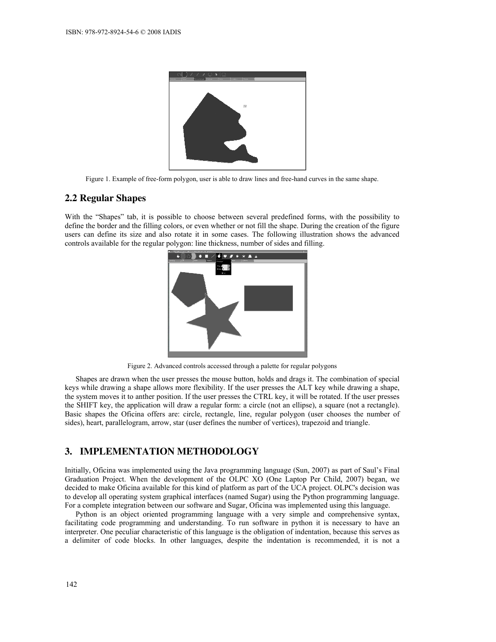

Figure 1. Example of free-form polygon, user is able to draw lines and free-hand curves in the same shape.

### 2.2 Regular Shapes

With the "Shapes" tab, it is possible to choose between several predefined forms, with the possibility to define the border and the filling colors, or even whether or not fill the shape. During the creation of the figure users can define its size and also rotate it in some cases. The following illustration shows the advanced controls available for the regular polygon: line thickness, number of sides and filling.



Figure 2. Advanced controls accessed through a palette for regular polygons

Shapes are drawn when the user presses the mouse button, holds and drags it. The combination of special keys while drawing a shape allows more flexibility. If the user presses the ALT key while drawing a shape, the system moves it to anther position. If the user presses the CTRL key, it will be rotated. If the user presses the SHIFT key, the application will draw a regular form: a circle (not an ellipse), a square (not a rectangle). Basic shapes the Oficina offers are: circle, rectangle, line, regular polygon (user chooses the number of sides), heart, parallelogram, arrow, star (user defines the number of vertices), trapezoid and triangle.

# 3. IMPLEMENTATION METHODOLOGY

Initially, Oficina was implemented using the Java programming language (Sun, 2007) as part of Saul's Final Graduation Project. When the development of the OLPC XO (One Laptop Per Child, 2007) began, we decided to make Oficina available for this kind of platform as part of the UCA project. OLPC's decision was to develop all operating system graphical interfaces (named Sugar) using the Python programming language. For a complete integration between our software and Sugar, Oficina was implemented using this language.

Python is an object oriented programming language with a very simple and comprehensive syntax, facilitating code programming and understanding. To run software in python it is necessary to have an interpreter. One peculiar characteristic of this language is the obligation of indentation, because this serves as a delimiter of code blocks. In other languages, despite the indentation is recommended, it is not a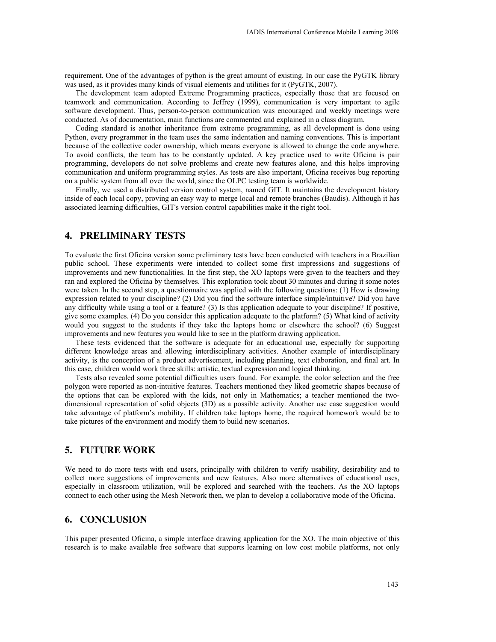requirement. One of the advantages of python is the great amount of existing. In our case the PyGTK library was used, as it provides many kinds of visual elements and utilities for it (PyGTK, 2007).

The development team adopted Extreme Programming practices, especially those that are focused on teamwork and communication. According to Jeffrey (1999), communication is very important to agile software development. Thus, person-to-person communication was encouraged and weekly meetings were conducted. As of documentation, main functions are commented and explained in a class diagram.

Coding standard is another inheritance from extreme programming, as all development is done using Python, every programmer in the team uses the same indentation and naming conventions. This is important because of the collective coder ownership, which means everyone is allowed to change the code anywhere. To avoid conflicts, the team has to be constantly updated. A key practice used to write Oficina is pair programming, developers do not solve problems and create new features alone, and this helps improving communication and uniform programming styles. As tests are also important, Oficina receives bug reporting on a public system from all over the world, since the OLPC testing team is worldwide.

Finally, we used a distributed version control system, named GIT. It maintains the development history inside of each local copy, proving an easy way to merge local and remote branches (Baudis). Although it has associated learning difficulties, GIT's version control capabilities make it the right tool.

# 4. PRELIMINARY TESTS

To evaluate the first Oficina version some preliminary tests have been conducted with teachers in a Brazilian public school. These experiments were intended to collect some first impressions and suggestions of improvements and new functionalities. In the first step, the XO laptops were given to the teachers and they ran and explored the Oficina by themselves. This exploration took about 30 minutes and during it some notes were taken. In the second step, a questionnaire was applied with the following questions: (1) How is drawing expression related to your discipline? (2) Did you find the software interface simple/intuitive? Did you have any difficulty while using a tool or a feature? (3) Is this application adequate to your discipline? If positive, give some examples. (4) Do you consider this application adequate to the platform? (5) What kind of activity would you suggest to the students if they take the laptops home or elsewhere the school? (6) Suggest improvements and new features you would like to see in the platform drawing application.

These tests evidenced that the software is adequate for an educational use, especially for supporting different knowledge areas and allowing interdisciplinary activities. Another example of interdisciplinary activity, is the conception of a product advertisement, including planning, text elaboration, and final art. In this case, children would work three skills: artistic, textual expression and logical thinking.

Tests also revealed some potential difficulties users found. For example, the color selection and the free polygon were reported as non-intuitive features. Teachers mentioned they liked geometric shapes because of the options that can be explored with the kids, not only in Mathematics; a teacher mentioned the twodimensional representation of solid objects (3D) as a possible activity. Another use case suggestion would take advantage of platform's mobility. If children take laptops home, the required homework would be to take pictures of the environment and modify them to build new scenarios.

# 5. FUTURE WORK

We need to do more tests with end users, principally with children to verify usability, desirability and to collect more suggestions of improvements and new features. Also more alternatives of educational uses, especially in classroom utilization, will be explored and searched with the teachers. As the XO laptops connect to each other using the Mesh Network then, we plan to develop a collaborative mode of the Oficina.

#### 6. CONCLUSION

This paper presented Oficina, a simple interface drawing application for the XO. The main objective of this research is to make available free software that supports learning on low cost mobile platforms, not only